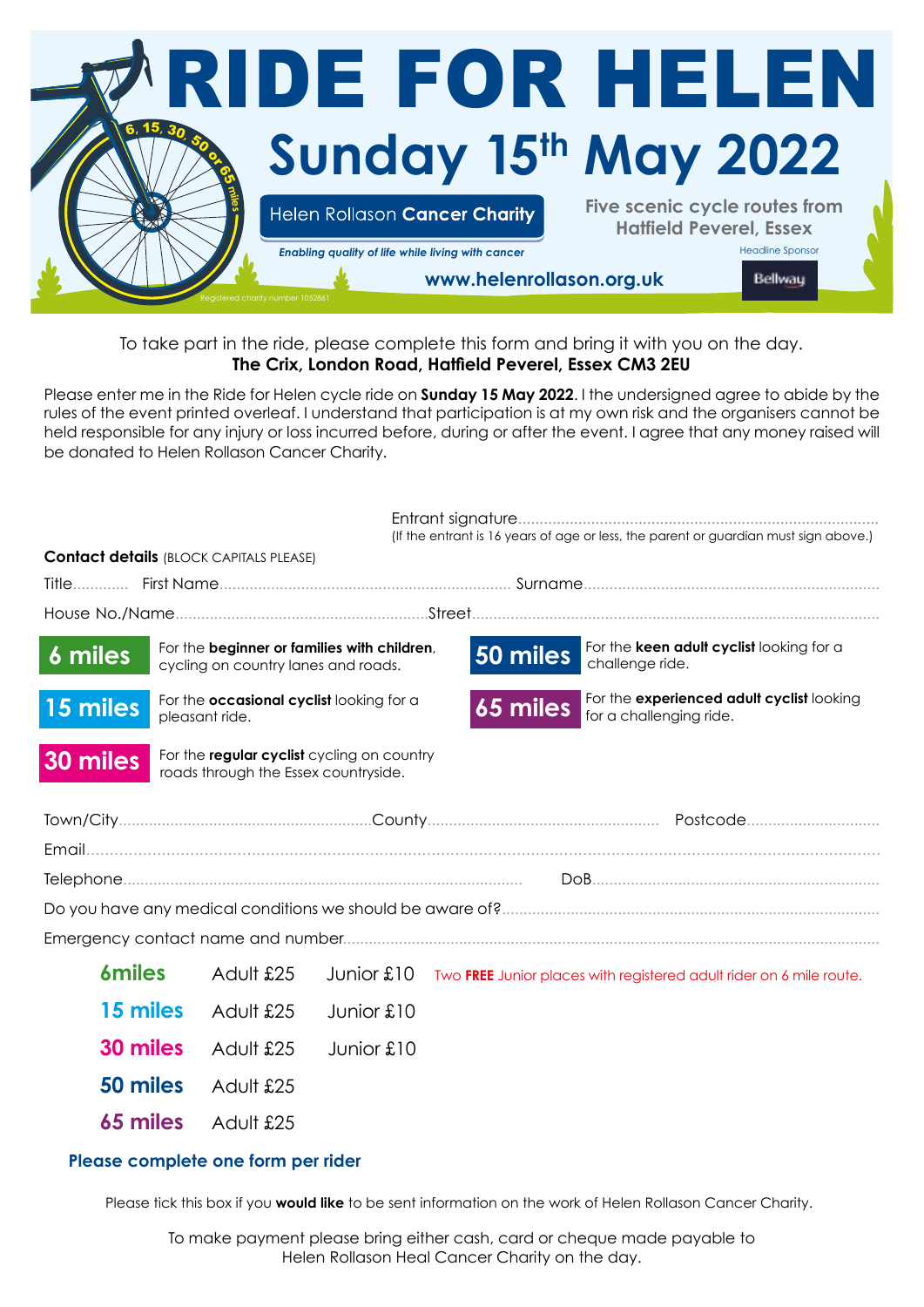

To take part in the ride, please complete this form and bring it with you on the day. **The Crix, London Road, Hatfield Peverel, Essex CM3 2EU**

Please enter me in the Ride for Helen cycle ride on **Sunday 15 May 2022**. I the undersigned agree to abide by the rules of the event printed overleaf. I understand that participation is at my own risk and the organisers cannot be held responsible for any injury or loss incurred before, during or after the event. I agree that any money raised will be donated to Helen Rollason Cancer Charity.

|                                                                                                |                                                                                    | <b>Contact details (BLOCK CAPITALS PLEASE)</b> |            |                                                                     |          | (If the entrant is 16 years of age or less, the parent or guardian must sign above.) |  |
|------------------------------------------------------------------------------------------------|------------------------------------------------------------------------------------|------------------------------------------------|------------|---------------------------------------------------------------------|----------|--------------------------------------------------------------------------------------|--|
|                                                                                                |                                                                                    |                                                |            |                                                                     |          |                                                                                      |  |
|                                                                                                |                                                                                    |                                                |            |                                                                     |          |                                                                                      |  |
| 6 miles                                                                                        | For the beginner or families with children,<br>cycling on country lanes and roads. |                                                |            |                                                                     | 50 miles | For the keen adult cyclist looking for a<br>challenge ride.                          |  |
| For the occasional cyclist looking for a<br>15 miles<br>pleasant ride.                         |                                                                                    |                                                |            |                                                                     | 65 miles | For the experienced adult cyclist looking<br>for a challenging ride.                 |  |
| For the regular cyclist cycling on country<br>30 miles<br>roads through the Essex countryside. |                                                                                    |                                                |            |                                                                     |          |                                                                                      |  |
|                                                                                                |                                                                                    |                                                |            |                                                                     |          |                                                                                      |  |
|                                                                                                |                                                                                    |                                                |            |                                                                     |          |                                                                                      |  |
|                                                                                                |                                                                                    |                                                |            |                                                                     |          |                                                                                      |  |
|                                                                                                |                                                                                    |                                                |            |                                                                     |          |                                                                                      |  |
|                                                                                                |                                                                                    |                                                |            |                                                                     |          |                                                                                      |  |
| <b>6miles</b>                                                                                  |                                                                                    | Adult £25                                      | Junior £10 | Two FREE Junior places with registered adult rider on 6 mile route. |          |                                                                                      |  |
| 15 miles                                                                                       |                                                                                    | Adult £25                                      | Junior £10 |                                                                     |          |                                                                                      |  |
| 30 miles                                                                                       |                                                                                    | Adult £25                                      | Junior £10 |                                                                     |          |                                                                                      |  |
| 50 miles                                                                                       |                                                                                    | Adult £25                                      |            |                                                                     |          |                                                                                      |  |
|                                                                                                | 65 miles                                                                           | Adult £25                                      |            |                                                                     |          |                                                                                      |  |

## **Please complete one form per rider**

Please tick this box if you **would like** to be sent information on the work of Helen Rollason Cancer Charity.

To make payment please bring either cash, card or cheque made payable to Helen Rollason Heal Cancer Charity on the day.